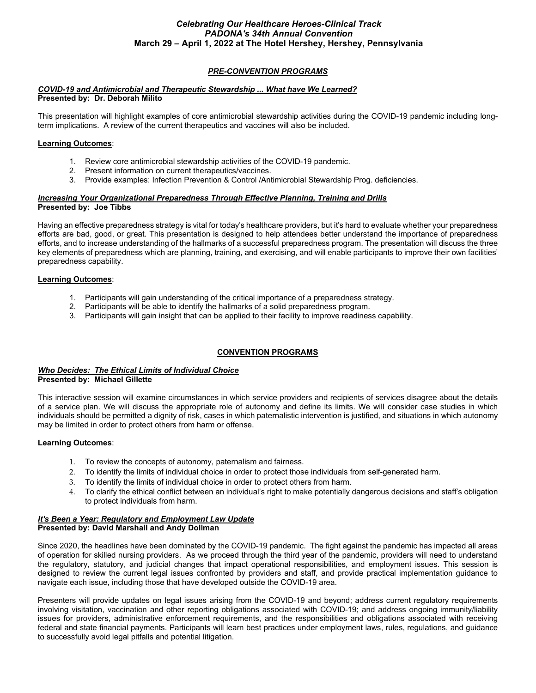## *PRE-CONVENTION PROGRAMS*

#### *COVID-19 and Antimicrobial and Therapeutic Stewardship ... What have We Learned?* **Presented by: Dr. Deborah Milito**

This presentation will highlight examples of core antimicrobial stewardship activities during the COVID-19 pandemic including longterm implications. A review of the current therapeutics and vaccines will also be included.

#### **Learning Outcomes**:

- 1. Review core antimicrobial stewardship activities of the COVID-19 pandemic.
- 2. Present information on current therapeutics/vaccines.
- 3. Provide examples: Infection Prevention & Control /Antimicrobial Stewardship Prog. deficiencies.

#### *Increasing Your Organizational Preparedness Through Effective Planning, Training and Drills* **Presented by: Joe Tibbs**

Having an effective preparedness strategy is vital for today's healthcare providers, but it's hard to evaluate whether your preparedness efforts are bad, good, or great. This presentation is designed to help attendees better understand the importance of preparedness efforts, and to increase understanding of the hallmarks of a successful preparedness program. The presentation will discuss the three key elements of preparedness which are planning, training, and exercising, and will enable participants to improve their own facilities' preparedness capability.

#### **Learning Outcomes**:

- 1. Participants will gain understanding of the critical importance of a preparedness strategy.
- 2. Participants will be able to identify the hallmarks of a solid preparedness program.
- 3. Participants will gain insight that can be applied to their facility to improve readiness capability.

#### **CONVENTION PROGRAMS**

#### *Who Decides: The Ethical Limits of Individual Choice* **Presented by: Michael Gillette**

This interactive session will examine circumstances in which service providers and recipients of services disagree about the details of a service plan. We will discuss the appropriate role of autonomy and define its limits. We will consider case studies in which individuals should be permitted a dignity of risk, cases in which paternalistic intervention is justified, and situations in which autonomy may be limited in order to protect others from harm or offense.

#### **Learning Outcomes**:

- 1. To review the concepts of autonomy, paternalism and fairness.
- 2. To identify the limits of individual choice in order to protect those individuals from self-generated harm.
- 3. To identify the limits of individual choice in order to protect others from harm.
- 4. To clarify the ethical conflict between an individual's right to make potentially dangerous decisions and staff's obligation to protect individuals from harm.

#### *It's Been a Year: Regulatory and Employment Law Update*  **Presented by: David Marshall and Andy Dollman**

Since 2020, the headlines have been dominated by the COVID-19 pandemic. The fight against the pandemic has impacted all areas of operation for skilled nursing providers. As we proceed through the third year of the pandemic, providers will need to understand the regulatory, statutory, and judicial changes that impact operational responsibilities, and employment issues. This session is designed to review the current legal issues confronted by providers and staff, and provide practical implementation guidance to navigate each issue, including those that have developed outside the COVID-19 area.

Presenters will provide updates on legal issues arising from the COVID-19 and beyond; address current regulatory requirements involving visitation, vaccination and other reporting obligations associated with COVID-19; and address ongoing immunity/liability issues for providers, administrative enforcement requirements, and the responsibilities and obligations associated with receiving federal and state financial payments. Participants will learn best practices under employment laws, rules, regulations, and guidance to successfully avoid legal pitfalls and potential litigation.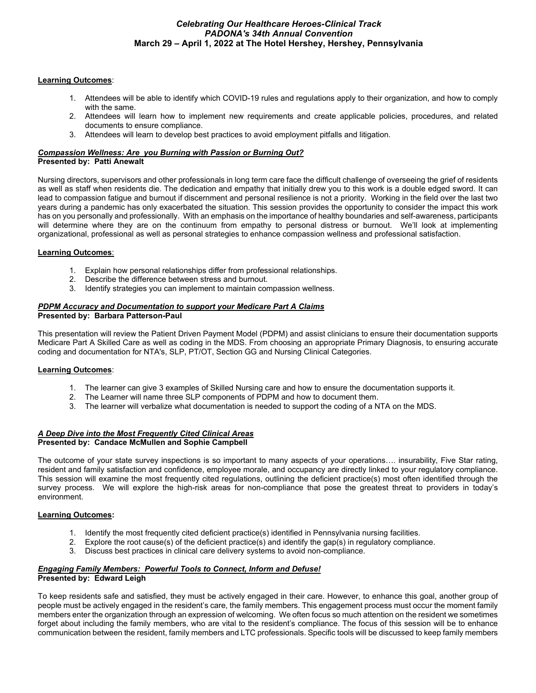#### **Learning Outcomes**:

- 1. Attendees will be able to identify which COVID-19 rules and regulations apply to their organization, and how to comply with the same.
- 2. Attendees will learn how to implement new requirements and create applicable policies, procedures, and related documents to ensure compliance.
- 3. Attendees will learn to develop best practices to avoid employment pitfalls and litigation.

#### *Compassion Wellness: Are you Burning with Passion or Burning Out?* **Presented by: Patti Anewalt**

Nursing directors, supervisors and other professionals in long term care face the difficult challenge of overseeing the grief of residents as well as staff when residents die. The dedication and empathy that initially drew you to this work is a double edged sword. It can lead to compassion fatigue and burnout if discernment and personal resilience is not a priority. Working in the field over the last two years during a pandemic has only exacerbated the situation. This session provides the opportunity to consider the impact this work has on you personally and professionally. With an emphasis on the importance of healthy boundaries and self-awareness, participants will determine where they are on the continuum from empathy to personal distress or burnout. We'll look at implementing organizational, professional as well as personal strategies to enhance compassion wellness and professional satisfaction.

### **Learning Outcomes**:

- 1. Explain how personal relationships differ from professional relationships.
- 2. Describe the difference between stress and burnout.
- 3. Identify strategies you can implement to maintain compassion wellness.

#### *PDPM Accuracy and Documentation to support your Medicare Part A Claims* **Presented by: Barbara Patterson-Paul**

This presentation will review the Patient Driven Payment Model (PDPM) and assist clinicians to ensure their documentation supports Medicare Part A Skilled Care as well as coding in the MDS. From choosing an appropriate Primary Diagnosis, to ensuring accurate coding and documentation for NTA's, SLP, PT/OT, Section GG and Nursing Clinical Categories.

# **Learning Outcomes**:

- 1. The learner can give 3 examples of Skilled Nursing care and how to ensure the documentation supports it.
- 2. The Learner will name three SLP components of PDPM and how to document them.
- 3. The learner will verbalize what documentation is needed to support the coding of a NTA on the MDS.

#### *A Deep Dive into the Most Frequently Cited Clinical Areas*  **Presented by: Candace McMullen and Sophie Campbell**

The outcome of your state survey inspections is so important to many aspects of your operations…. insurability, Five Star rating, resident and family satisfaction and confidence, employee morale, and occupancy are directly linked to your regulatory compliance. This session will examine the most frequently cited regulations, outlining the deficient practice(s) most often identified through the survey process. We will explore the high-risk areas for non-compliance that pose the greatest threat to providers in today's environment.

### **Learning Outcomes:**

- 1. Identify the most frequently cited deficient practice(s) identified in Pennsylvania nursing facilities.
- 2. Explore the root cause(s) of the deficient practice(s) and identify the gap(s) in regulatory compliance.
- 3. Discuss best practices in clinical care delivery systems to avoid non-compliance.

#### *Engaging Family Members: Powerful Tools to Connect, Inform and Defuse!* **Presented by: Edward Leigh**

To keep residents safe and satisfied, they must be actively engaged in their care. However, to enhance this goal, another group of people must be actively engaged in the resident's care, the family members. This engagement process must occur the moment family members enter the organization through an expression of welcoming. We often focus so much attention on the resident we sometimes forget about including the family members, who are vital to the resident's compliance. The focus of this session will be to enhance communication between the resident, family members and LTC professionals. Specific tools will be discussed to keep family members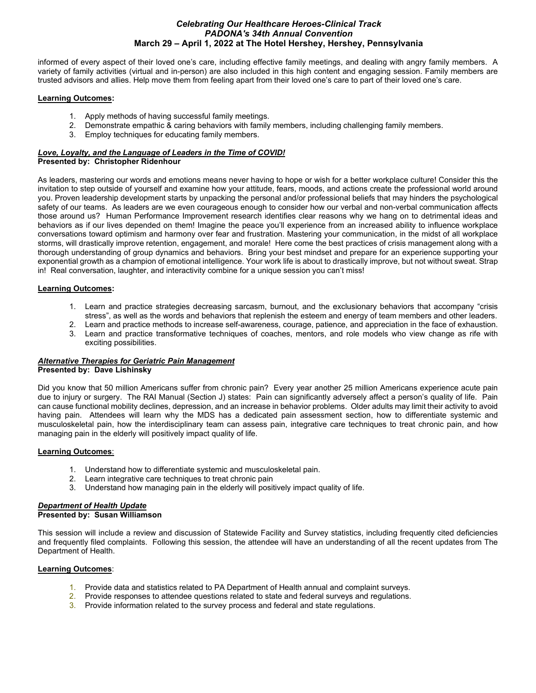informed of every aspect of their loved one's care, including effective family meetings, and dealing with angry family members. A variety of family activities (virtual and in-person) are also included in this high content and engaging session. Family members are trusted advisors and allies. Help move them from feeling apart from their loved one's care to part of their loved one's care.

#### **Learning Outcomes:**

- 1. Apply methods of having successful family meetings.
- 2. Demonstrate empathic & caring behaviors with family members, including challenging family members.
- 3. Employ techniques for educating family members.

#### *Love, Loyalty, and the Language of Leaders in the Time of COVID!* **Presented by: Christopher Ridenhour**

As leaders, mastering our words and emotions means never having to hope or wish for a better workplace culture! Consider this the invitation to step outside of yourself and examine how your attitude, fears, moods, and actions create the professional world around you. Proven leadership development starts by unpacking the personal and/or professional beliefs that may hinders the psychological safety of our teams. As leaders are we even courageous enough to consider how our verbal and non-verbal communication affects those around us? Human Performance Improvement research identifies clear reasons why we hang on to detrimental ideas and behaviors as if our lives depended on them! Imagine the peace you'll experience from an increased ability to influence workplace conversations toward optimism and harmony over fear and frustration. Mastering your communication, in the midst of all workplace storms, will drastically improve retention, engagement, and morale! Here come the best practices of crisis management along with a thorough understanding of group dynamics and behaviors. Bring your best mindset and prepare for an experience supporting your exponential growth as a champion of emotional intelligence. Your work life is about to drastically improve, but not without sweat. Strap in! Real conversation, laughter, and interactivity combine for a unique session you can't miss!

# **Learning Outcomes:**

- 1. Learn and practice strategies decreasing sarcasm, burnout, and the exclusionary behaviors that accompany "crisis stress", as well as the words and behaviors that replenish the esteem and energy of team members and other leaders.
- 2. Learn and practice methods to increase self-awareness, courage, patience, and appreciation in the face of exhaustion.
- 3. Learn and practice transformative techniques of coaches, mentors, and role models who view change as rife with exciting possibilities.

# *Alternative Therapies for Geriatric Pain Management*

# **Presented by: Dave Lishinsky**

Did you know that 50 million Americans suffer from chronic pain? Every year another 25 million Americans experience acute pain due to injury or surgery. The RAI Manual (Section J) states: Pain can significantly adversely affect a person's quality of life. Pain can cause functional mobility declines, depression, and an increase in behavior problems. Older adults may limit their activity to avoid having pain. Attendees will learn why the MDS has a dedicated pain assessment section, how to differentiate systemic and musculoskeletal pain, how the interdisciplinary team can assess pain, integrative care techniques to treat chronic pain, and how managing pain in the elderly will positively impact quality of life.

# **Learning Outcomes**:

- 1. Understand how to differentiate systemic and musculoskeletal pain.
- 2. Learn integrative care techniques to treat chronic pain
- 3. Understand how managing pain in the elderly will positively impact quality of life.

# *Department of Health Update*

# **Presented by: Susan Williamson**

This session will include a review and discussion of Statewide Facility and Survey statistics, including frequently cited deficiencies and frequently filed complaints. Following this session, the attendee will have an understanding of all the recent updates from The Department of Health.

# **Learning Outcomes**:

- 1. Provide data and statistics related to PA Department of Health annual and complaint surveys.
- 2. Provide responses to attendee questions related to state and federal surveys and regulations.
- 3. Provide information related to the survey process and federal and state regulations.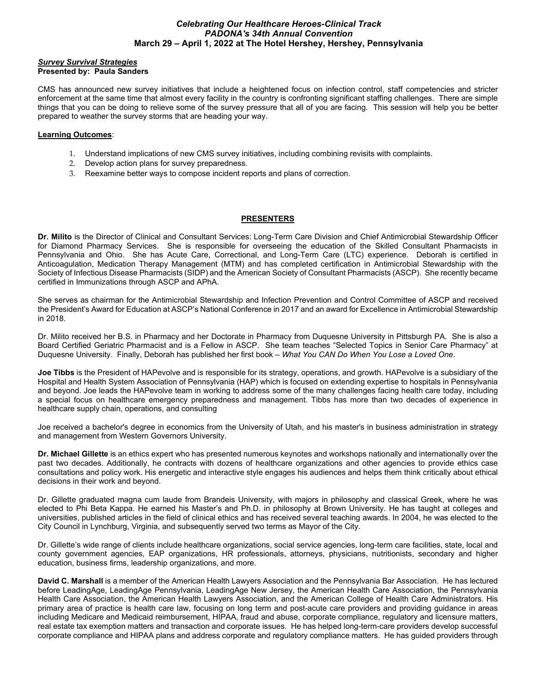#### *Survey Survival Strategies* **Presented by: Paula Sanders**

CMS has announced new survey initiatives that include a heightened focus on infection control, staff competencies and stricter enforcement at the same time that almost every facility in the country is confronting significant staffing challenges. There are simple things that you can be doing to relieve some of the survey pressure that all of you are facing. This session will help you be better prepared to weather the survey storms that are heading your way.

### **Learning Outcomes**:

- 1. Understand implications of new CMS survey initiatives, including combining revisits with complaints.
- 2. Develop action plans for survey preparedness.
- 3. Reexamine better ways to compose incident reports and plans of correction.

# **PRESENTERS**

**Dr. Milito** is the Director of Clinical and Consultant Services: Long-Term Care Division and Chief Antimicrobial Stewardship Officer for Diamond Pharmacy Services. She is responsible for overseeing the education of the Skilled Consultant Pharmacists in Pennsylvania and Ohio. She has Acute Care, Correctional, and Long-Term Care (LTC) experience. Deborah is certified in Anticoagulation, Medication Therapy Management (MTM) and has completed certification in Antimicrobial Stewardship with the Society of Infectious Disease Pharmacists (SIDP) and the American Society of Consultant Pharmacists (ASCP). She recently became certified in Immunizations through ASCP and APhA.

She serves as chairman for the Antimicrobial Stewardship and Infection Prevention and Control Committee of ASCP and received the President's Award for Education at ASCP's National Conference in 2017 and an award for Excellence in Antimicrobial Stewardship in 2018.

Dr. Milito received her B.S. in Pharmacy and her Doctorate in Pharmacy from Duquesne University in Pittsburgh PA. She is also a Board Certified Geriatric Pharmacist and is a Fellow in ASCP. She team teaches "Selected Topics in Senior Care Pharmacy" at Duquesne University. Finally, Deborah has published her first book – *What You CAN Do When You Lose a Loved One*.

**Joe Tibbs** is the President of HAPevolve and is responsible for its strategy, operations, and growth. HAPevolve is a subsidiary of the Hospital and Health System Association of Pennsylvania (HAP) which is focused on extending expertise to hospitals in Pennsylvania and beyond. Joe leads the HAPevolve team in working to address some of the many challenges facing health care today, including a special focus on healthcare emergency preparedness and management. Tibbs has more than two decades of experience in healthcare supply chain, operations, and consulting

Joe received a bachelor's degree in economics from the University of Utah, and his master's in business administration in strategy and management from Western Governors University.

**Dr. Michael Gillette** is an ethics expert who has presented numerous keynotes and workshops nationally and internationally over the past two decades. Additionally, he contracts with dozens of healthcare organizations and other agencies to provide ethics case consultations and policy work. His energetic and interactive style engages his audiences and helps them think critically about ethical decisions in their work and beyond.

Dr. Gillette graduated magna cum laude from Brandeis University, with majors in philosophy and classical Greek, where he was elected to Phi Beta Kappa. He earned his Master's and Ph.D. in philosophy at Brown University. He has taught at colleges and universities, published articles in the field of clinical ethics and has received several teaching awards. In 2004, he was elected to the City Council in Lynchburg, Virginia, and subsequently served two terms as Mayor of the City.

Dr. Gillette's wide range of clients include healthcare organizations, social service agencies, long-term care facilities, state, local and county government agencies, EAP organizations, HR professionals, attorneys, physicians, nutritionists, secondary and higher education, business firms, leadership organizations, and more.

**David C. Marshall** is a member of the American Health Lawyers Association and the Pennsylvania Bar Association. He has lectured before LeadingAge, LeadingAge Pennsylvania, LeadingAge New Jersey, the American Health Care Association, the Pennsylvania Health Care Association, the American Health Lawyers Association, and the American College of Health Care Administrators. His primary area of practice is health care law, focusing on long term and post-acute care providers and providing guidance in areas including Medicare and Medicaid reimbursement, HIPAA, fraud and abuse, corporate compliance, regulatory and licensure matters, real estate tax exemption matters and transaction and corporate issues. He has helped long-term-care providers develop successful corporate compliance and HIPAA plans and address corporate and regulatory compliance matters. He has guided providers through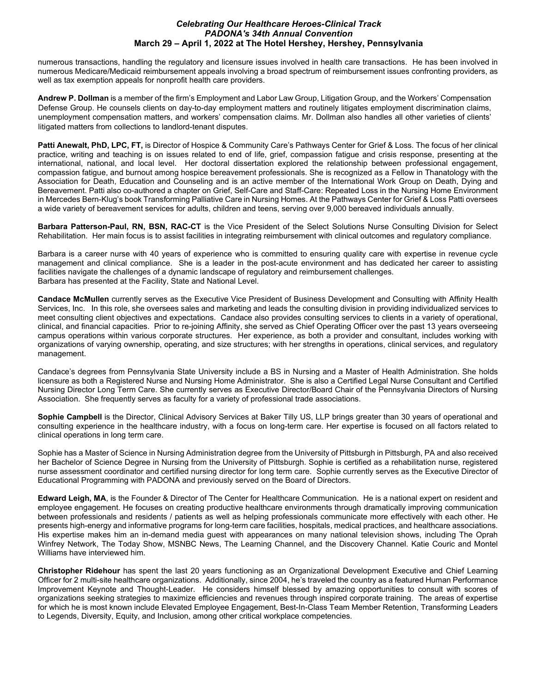numerous transactions, handling the regulatory and licensure issues involved in health care transactions. He has been involved in numerous Medicare/Medicaid reimbursement appeals involving a broad spectrum of reimbursement issues confronting providers, as well as tax exemption appeals for nonprofit health care providers.

**Andrew P. Dollman** is a member of the firm's Employment and Labor Law Group, Litigation Group, and the Workers' Compensation Defense Group. He counsels clients on day-to-day employment matters and routinely litigates employment discrimination claims, unemployment compensation matters, and workers' compensation claims. Mr. Dollman also handles all other varieties of clients' litigated matters from collections to landlord-tenant disputes.

**Patti Anewalt, PhD, LPC, FT,** is Director of Hospice & Community Care's Pathways Center for Grief & Loss. The focus of her clinical practice, writing and teaching is on issues related to end of life, grief, compassion fatigue and crisis response, presenting at the international, national, and local level. Her doctoral dissertation explored the relationship between professional engagement, compassion fatigue, and burnout among hospice bereavement professionals. She is recognized as a Fellow in Thanatology with the Association for Death, Education and Counseling and is an active member of the International Work Group on Death, Dying and Bereavement. Patti also co-authored a chapter on Grief, Self-Care and Staff-Care: Repeated Loss in the Nursing Home Environment in Mercedes Bern-Klug's book Transforming Palliative Care in Nursing Homes. At the Pathways Center for Grief & Loss Patti oversees a wide variety of bereavement services for adults, children and teens, serving over 9,000 bereaved individuals annually.

**Barbara Patterson-Paul, RN, BSN, RAC-CT** is the Vice President of the Select Solutions Nurse Consulting Division for Select Rehabilitation. Her main focus is to assist facilities in integrating reimbursement with clinical outcomes and regulatory compliance.

Barbara is a career nurse with 40 years of experience who is committed to ensuring quality care with expertise in revenue cycle management and clinical compliance. She is a leader in the post-acute environment and has dedicated her career to assisting facilities navigate the challenges of a dynamic landscape of regulatory and reimbursement challenges. Barbara has presented at the Facility, State and National Level.

**Candace McMullen** currently serves as the Executive Vice President of Business Development and Consulting with Affinity Health Services, Inc. In this role, she oversees sales and marketing and leads the consulting division in providing individualized services to meet consulting client objectives and expectations. Candace also provides consulting services to clients in a variety of operational, clinical, and financial capacities. Prior to re-joining Affinity, she served as Chief Operating Officer over the past 13 years overseeing campus operations within various corporate structures. Her experience, as both a provider and consultant, includes working with organizations of varying ownership, operating, and size structures; with her strengths in operations, clinical services, and regulatory management.

Candace's degrees from Pennsylvania State University include a BS in Nursing and a Master of Health Administration. She holds licensure as both a Registered Nurse and Nursing Home Administrator. She is also a Certified Legal Nurse Consultant and Certified Nursing Director Long Term Care. She currently serves as Executive Director/Board Chair of the Pennsylvania Directors of Nursing Association. She frequently serves as faculty for a variety of professional trade associations.

**Sophie Campbell** is the Director, Clinical Advisory Services at Baker Tilly US, LLP brings greater than 30 years of operational and consulting experience in the healthcare industry, with a focus on long-term care. Her expertise is focused on all factors related to clinical operations in long term care.

Sophie has a Master of Science in Nursing Administration degree from the University of Pittsburgh in Pittsburgh, PA and also received her Bachelor of Science Degree in Nursing from the University of Pittsburgh. Sophie is certified as a rehabilitation nurse, registered nurse assessment coordinator and certified nursing director for long term care. Sophie currently serves as the Executive Director of Educational Programming with PADONA and previously served on the Board of Directors.

**Edward Leigh, MA**, is the Founder & Director of The Center for Healthcare Communication. He is a national expert on resident and employee engagement. He focuses on creating productive healthcare environments through dramatically improving communication between professionals and residents / patients as well as helping professionals communicate more effectively with each other. He presents high-energy and informative programs for long-term care facilities, hospitals, medical practices, and healthcare associations. His expertise makes him an in-demand media guest with appearances on many national television shows, including The Oprah Winfrey Network, The Today Show, MSNBC News, The Learning Channel, and the Discovery Channel. Katie Couric and Montel Williams have interviewed him.

**Christopher Ridehour** has spent the last 20 years functioning as an Organizational Development Executive and Chief Learning Officer for 2 multi-site healthcare organizations. Additionally, since 2004, he's traveled the country as a featured Human Performance Improvement Keynote and Thought-Leader. He considers himself blessed by amazing opportunities to consult with scores of organizations seeking strategies to maximize efficiencies and revenues through inspired corporate training. The areas of expertise for which he is most known include Elevated Employee Engagement, Best-In-Class Team Member Retention, Transforming Leaders to Legends, Diversity, Equity, and Inclusion, among other critical workplace competencies.